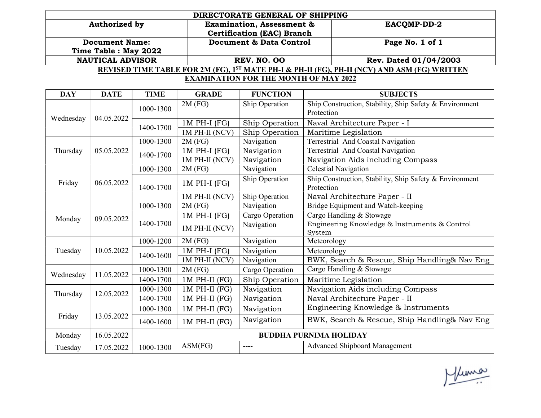|                                                                                                          | DIRECTORATE GENERAL OF SHIPPING      |                       |  |  |  |
|----------------------------------------------------------------------------------------------------------|--------------------------------------|-----------------------|--|--|--|
| Authorized by                                                                                            | <b>Examination, Assessment &amp;</b> | <b>EACOMP-DD-2</b>    |  |  |  |
|                                                                                                          | <b>Certification (EAC) Branch</b>    |                       |  |  |  |
| <b>Document Name:</b>                                                                                    | Document & Data Control              | Page No. 1 of 1       |  |  |  |
| Time Table : May 2022                                                                                    |                                      |                       |  |  |  |
| <b>NAUTICAL ADVISOR</b>                                                                                  | <b>REV. NO. 00</b>                   | Rev. Dated 01/04/2003 |  |  |  |
| REVISED TIME TABLE FOR 2M (FG), 1 <sup>ST</sup> MATE PH-I & PH-II (FG), PH-II (NCV) AND ASM (FG) WRITTEN |                                      |                       |  |  |  |
| <b>EXAMINATION FOR THE MONTH OF MAY 2022</b>                                                             |                                      |                       |  |  |  |

| <b>DAY</b> | <b>DATE</b> | <b>TIME</b>                                   | <b>GRADE</b>    | <b>FUNCTION</b> | <b>SUBJECTS</b>                                                       |
|------------|-------------|-----------------------------------------------|-----------------|-----------------|-----------------------------------------------------------------------|
| Wednesday  |             | 1000-1300                                     | $2M$ (FG)       | Ship Operation  | Ship Construction, Stability, Ship Safety & Environment               |
|            | 04.05.2022  |                                               |                 |                 | Protection                                                            |
|            |             | 1400-1700                                     | $1M$ PH-I (FG)  | Ship Operation  | Naval Architecture Paper - I                                          |
|            |             |                                               | 1M PH-II (NCV)  | Ship Operation  | Maritime Legislation                                                  |
| Thursday   |             | 1000-1300                                     | $2M$ (FG)       | Navigation      | Terrestrial And Coastal Navigation                                    |
|            | 05.05.2022  | 1400-1700                                     | $1M$ PH-I (FG)  | Navigation      | Terrestrial And Coastal Navigation                                    |
|            |             |                                               | 1M PH-II (NCV)  | Navigation      | Navigation Aids including Compass                                     |
| Friday     | 06.05.2022  | 1000-1300                                     | $2M$ (FG)       | Navigation      | <b>Celestial Navigation</b>                                           |
|            |             | 1400-1700                                     | $1M$ PH-I (FG)  | Ship Operation  | Ship Construction, Stability, Ship Safety & Environment<br>Protection |
|            |             |                                               | 1M PH-II (NCV)  | Ship Operation  | Naval Architecture Paper - II                                         |
| Monday     |             | 1000-1300                                     | $2M$ (FG)       | Navigation      | Bridge Equipment and Watch-keeping                                    |
|            | 09.05.2022  | $1M$ PH-I (FG)<br>1400-1700<br>1M PH-II (NCV) |                 | Cargo Operation | Cargo Handling & Stowage                                              |
|            |             |                                               |                 | Navigation      | Engineering Knowledge & Instruments & Control                         |
|            |             |                                               |                 |                 | System                                                                |
| Tuesday    | 10.05.2022  | 1000-1200                                     | $2M$ (FG)       | Navigation      | Meteorology                                                           |
|            |             | 1400-1600                                     | $1M$ PH-I (FG)  | Navigation      | Meteorology                                                           |
|            |             |                                               | 1M PH-II (NCV)  | Navigation      | BWK, Search & Rescue, Ship Handling& Nav Eng                          |
| Wednesday  | 11.05.2022  | 1000-1300                                     | 2M(FG)          | Cargo Operation | Cargo Handling & Stowage                                              |
|            |             | 1400-1700                                     | $1M$ PH-II (FG) | Ship Operation  | Maritime Legislation                                                  |
| Thursday   | 12.05.2022  | 1000-1300                                     | $1M$ PH-II (FG) | Navigation      | Navigation Aids including Compass                                     |
|            |             | 1400-1700                                     | $1M$ PH-II (FG) | Navigation      | Naval Architecture Paper - II                                         |
| Friday     | 13.05.2022  | 1000-1300                                     | $1M$ PH-II (FG) | Navigation      | Engineering Knowledge & Instruments                                   |
|            |             | 1400-1600                                     | $1M$ PH-II (FG) | Navigation      | BWK, Search & Rescue, Ship Handling& Nav Eng                          |
| Monday     | 16.05.2022  | <b>BUDDHA PURNIMA HOLIDAY</b>                 |                 |                 |                                                                       |
| Tuesday    | 17.05.2022  | 1000-1300                                     | ASM(FG)         | ----            | <b>Advanced Shipboard Management</b>                                  |

Muma